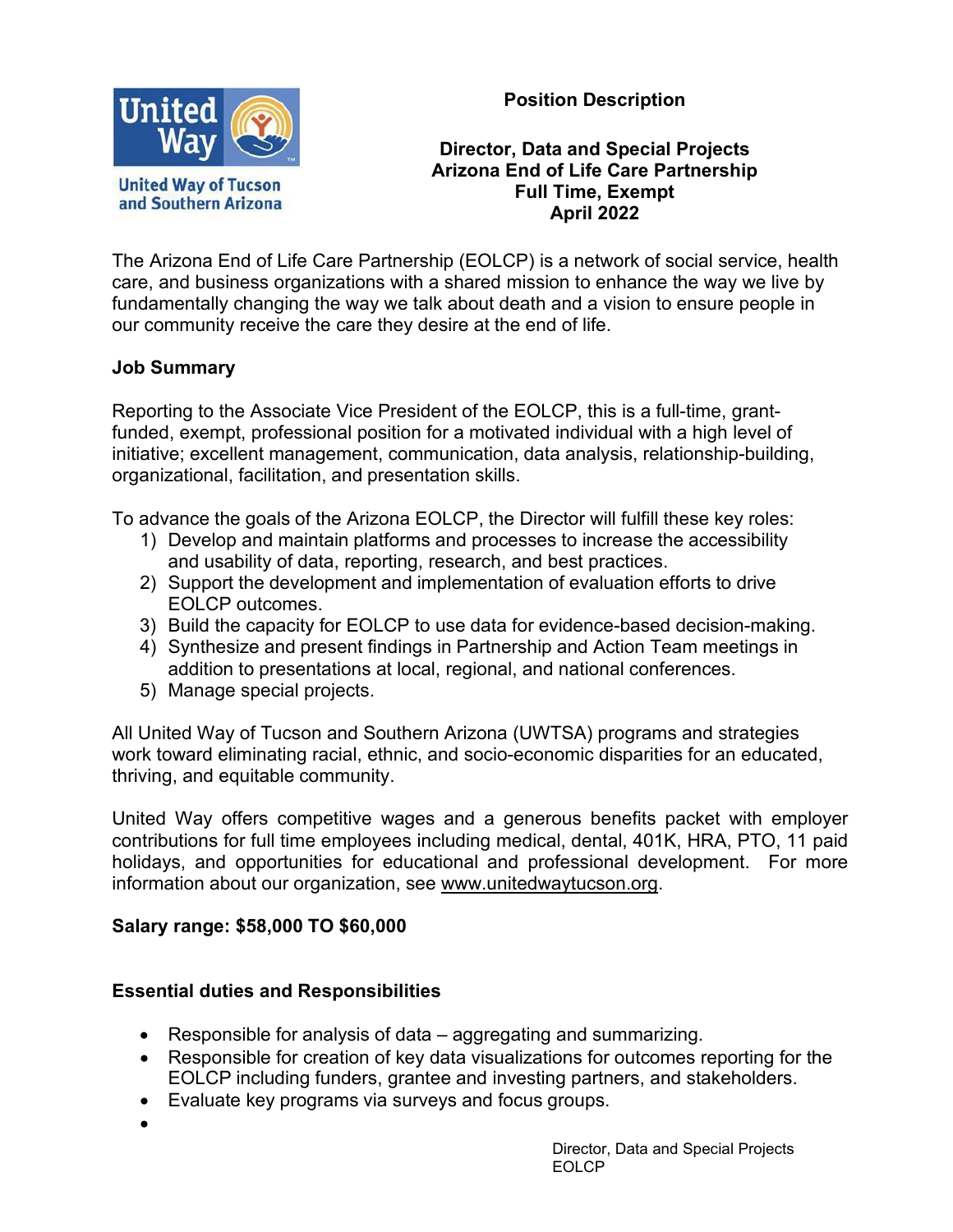**Position Description**



#### **Director, Data and Special Projects Arizona End of Life Care Partnership Full Time, Exempt April 2022**

The Arizona End of Life Care Partnership (EOLCP) is a network of social service, health care, and business organizations with a shared mission to enhance the way we live by fundamentally changing the way we talk about death and a vision to ensure people in our community receive the care they desire at the end of life.

### **Job Summary**

Reporting to the Associate Vice President of the EOLCP, this is a full-time, grantfunded, exempt, professional position for a motivated individual with a high level of initiative; excellent management, communication, data analysis, relationship-building, organizational, facilitation, and presentation skills.

To advance the goals of the Arizona EOLCP, the Director will fulfill these key roles:

- 1) Develop and maintain platforms and processes to increase the accessibility and usability of data, reporting, research, and best practices.
- 2) Support the development and implementation of evaluation efforts to drive EOLCP outcomes.
- 3) Build the capacity for EOLCP to use data for evidence-based decision-making.
- 4) Synthesize and present findings in Partnership and Action Team meetings in addition to presentations at local, regional, and national conferences.
- 5) Manage special projects.

All United Way of Tucson and Southern Arizona (UWTSA) programs and strategies work toward eliminating racial, ethnic, and socio-economic disparities for an educated, thriving, and equitable community.

United Way offers competitive wages and a generous benefits packet with employer contributions for full time employees including medical, dental, 401K, HRA, PTO, 11 paid holidays, and opportunities for educational and professional development. For more information about our organization, see [www.unitedwaytucson.org.](http://www.unitedwaytucson.org/)

## **Salary range: \$58,000 TO \$60,000**

## **Essential duties and Responsibilities**

- Responsible for analysis of data aggregating and summarizing.
- Responsible for creation of key data visualizations for outcomes reporting for the EOLCP including funders, grantee and investing partners, and stakeholders.
- Evaluate key programs via surveys and focus groups.
- •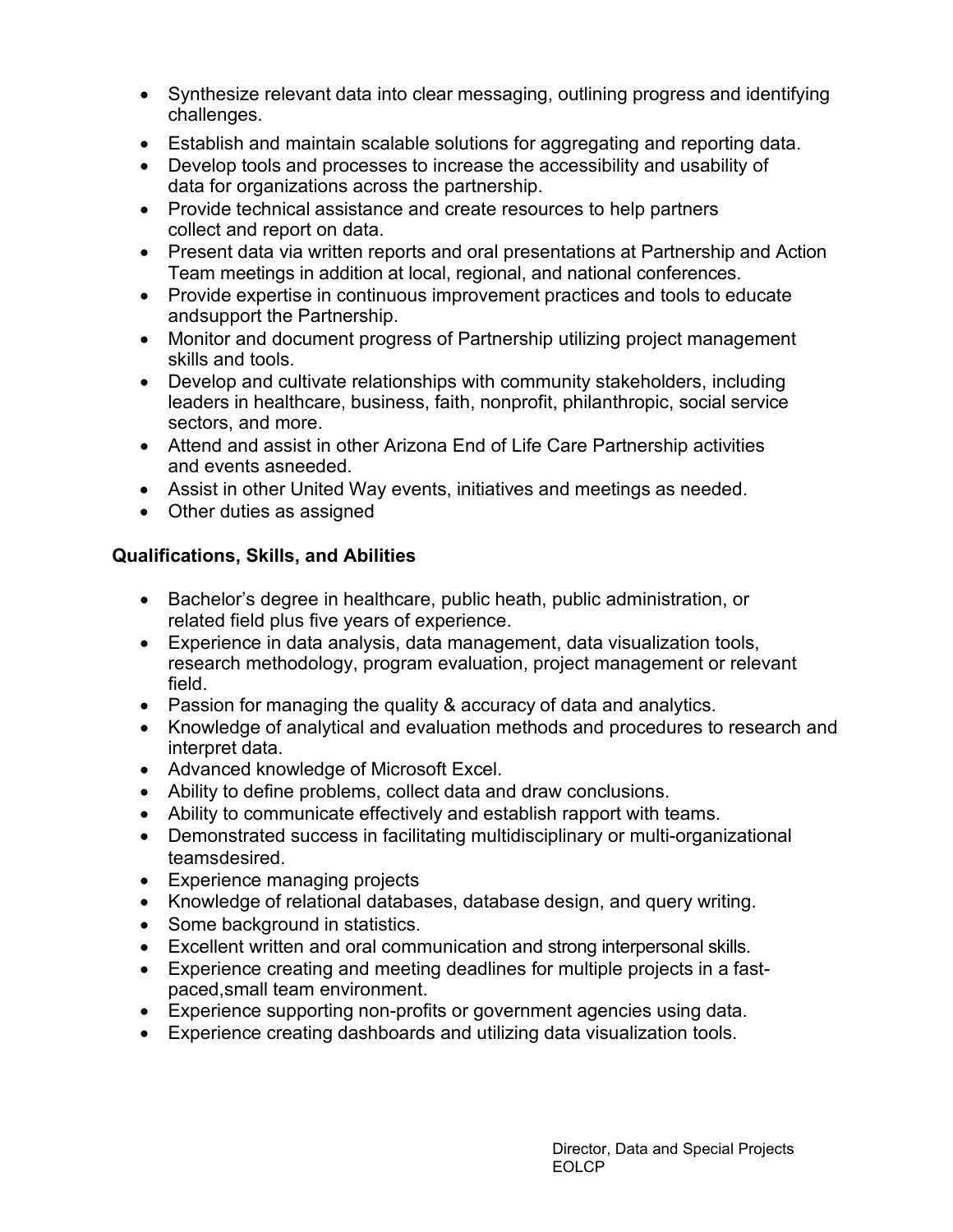- Synthesize relevant data into clear messaging, outlining progress and identifying challenges.
- Establish and maintain scalable solutions for aggregating and reporting data.
- Develop tools and processes to increase the accessibility and usability of data for organizations across the partnership.
- Provide technical assistance and create resources to help partners collect and report on data.
- Present data via written reports and oral presentations at Partnership and Action Team meetings in addition at local, regional, and national conferences.
- Provide expertise in continuous improvement practices and tools to educate andsupport the Partnership.
- Monitor and document progress of Partnership utilizing project management skills and tools.
- Develop and cultivate relationships with community stakeholders, including leaders in healthcare, business, faith, nonprofit, philanthropic, social service sectors, and more.
- Attend and assist in other Arizona End of Life Care Partnership activities and events asneeded.
- Assist in other United Way events, initiatives and meetings as needed.
- Other duties as assigned

# **Qualifications, Skills, and Abilities**

- Bachelor's degree in healthcare, public heath, public administration, or related field plus five years of experience.
- Experience in data analysis, data management, data visualization tools, research methodology, program evaluation, project management or relevant field.
- Passion for managing the quality & accuracy of data and analytics.
- Knowledge of analytical and evaluation methods and procedures to research and interpret data.
- Advanced knowledge of Microsoft Excel.
- Ability to define problems, collect data and draw conclusions.
- Ability to communicate effectively and establish rapport with teams.
- Demonstrated success in facilitating multidisciplinary or multi-organizational teamsdesired.
- Experience managing projects
- Knowledge of relational databases, database design, and query writing.
- Some background in statistics.
- Excellent written and oral communication and strong interpersonal skills.
- Experience creating and meeting deadlines for multiple projects in a fastpaced,small team environment.
- Experience supporting non-profits or government agencies using data.
- Experience creating dashboards and utilizing data visualization tools.